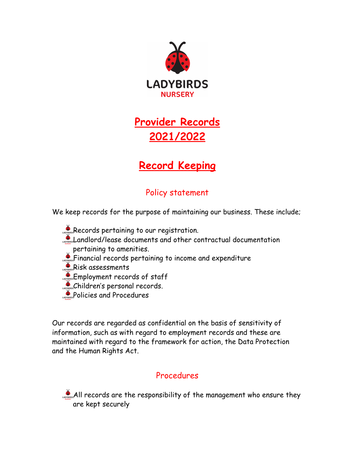

## **Provider Records 2021/2022**

## **Record Keeping**

## Policy statement

We keep records for the purpose of maintaining our business. These include;

- Records pertaining to our registration. Landlord/lease documents and other contractual documentation pertaining to amenities. **Financial records pertaining to income and expenditure**
- Risk assessments
- **Employment records of staff**
- Children's personal records.
- **Policies and Procedures**

Our records are regarded as confidential on the basis of sensitivity of information, such as with regard to employment records and these are maintained with regard to the framework for action, the Data Protection and the Human Rights Act.

## Procedures

All records are the responsibility of the management who ensure they are kept securely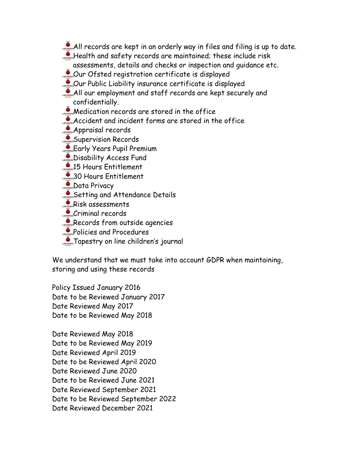- **AD** and **All records are kept in an orderly way in files and filing is up to date.**
- Health and safety records are maintained; these include risk
- assessments, details and checks or inspection and guidance etc.
- **OUR** Ofsted registration certificate is displayed
- Our Public Liability insurance certificate is displayed
- All our employment and staff records are kept securely and confidentially.
- **Medication records are stored in the office**
- Accident and incident forms are stored in the office
- Appraisal records
- Supervision Records
- Early Years Pupil Premium
- Disability Access Fund
- **26 Hours Entitlement**
- 30 Hours Entitlement
- Data Privacy
- Setting and Attendance Details
- Risk assessments
- **Criminal records**
- Records from outside agencies
- **Policies and Procedures**
- **CAPTER STAPESTRY ON line children's journal**

We understand that we must take into account GDPR when maintaining, storing and using these records

Policy Issued January 2016 Date to be Reviewed January 2017 Date Reviewed May 2017 Date to be Reviewed May 2018

Date Reviewed May 2018 Date to be Reviewed May 2019 Date Reviewed April 2019 Date to be Reviewed April 2020 Date Reviewed June 2020 Date to be Reviewed June 2021 Date Reviewed September 2021 Date to be Reviewed September 2022 Date Reviewed December 2021